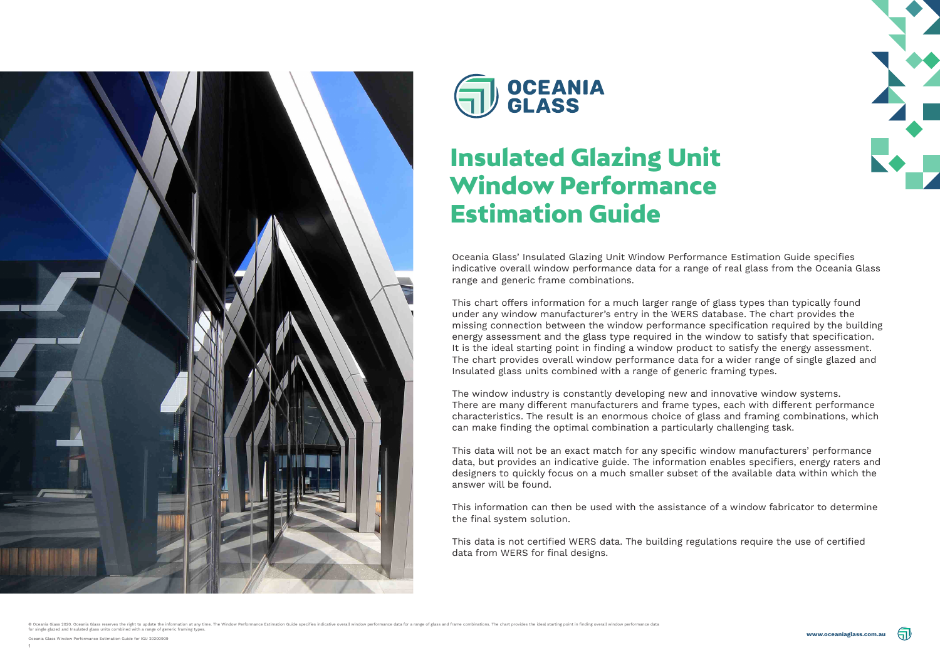





Oceania Glass' Insulated Glazing Unit Window Performance Estimation Guide specifies indicative overall window performance data for a range of real glass from the Oceania Glass range and generic frame combinations.

This chart offers information for a much larger range of glass types than typically found under any window manufacturer's entry in the WERS database. The chart provides the missing connection between the window performance specification required by the building energy assessment and the glass type required in the window to satisfy that specification. It is the ideal starting point in finding a window product to satisfy the energy assessment. The chart provides overall window performance data for a wider range of single glazed and Insulated glass units combined with a range of generic framing types.

The window industry is constantly developing new and innovative window systems. There are many different manufacturers and frame types, each with different performance characteristics. The result is an enormous choice of glass and framing combinations, which can make finding the optimal combination a particularly challenging task.

This data will not be an exact match for any specific window manufacturers' performance data, but provides an indicative guide. The information enables specifiers, energy raters and designers to quickly focus on a much smaller subset of the available data within which the answer will be found.

This information can then be used with the assistance of a window fabricator to determine the final system solution.

This data is not certified WERS data. The building regulations require the use of certified data from WERS for final designs.

© Oceania Glass 2020. Oceania Glass reserves the right to update the information at any time. The Window Performance Estimation Guide specifies indicative overall window performance data for a range of glass and frame comb





### Insulated Glazing Unit Window Performance Estimation Guide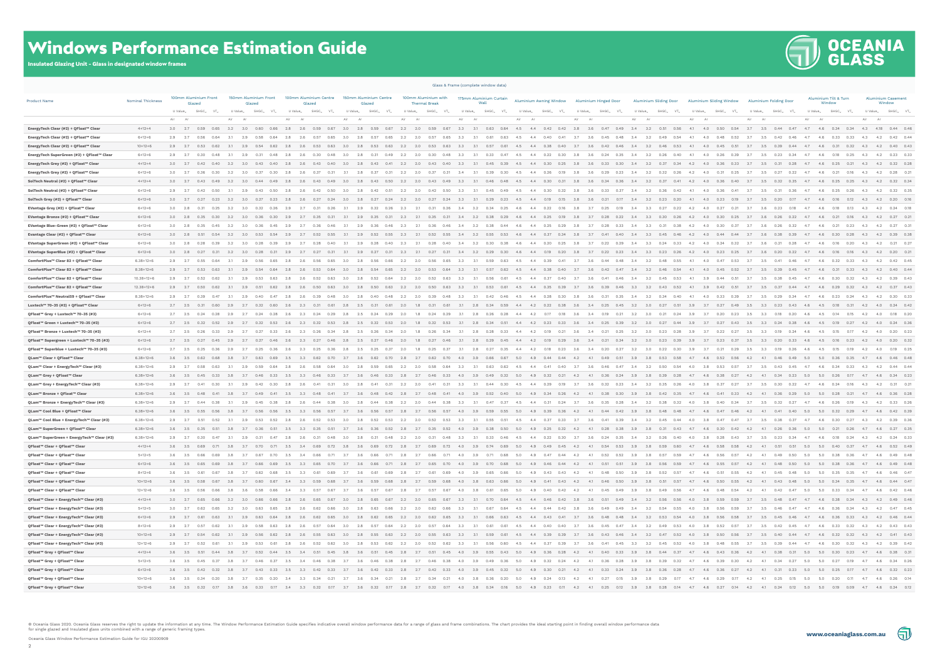## **THE OCEANIA**



#### Windows Performance Estimation Guide

Insulated Glazing Unit - Glass in designated window frames

|                                            |                          | Glass & Frame (complete window data) |                                                                                                                                                     |         |        |                        |                 |                                  |                      |          |                        |         |                      |                     |                                              |                 |                 |                                                                        |                 |          |                       |                     |                                                                                                                                                                                                                                 |             |                          |             |              |                                                        |             |                                     |              |                                                                                                                                                                                                                                                                                                                                                     |                    |
|--------------------------------------------|--------------------------|--------------------------------------|-----------------------------------------------------------------------------------------------------------------------------------------------------|---------|--------|------------------------|-----------------|----------------------------------|----------------------|----------|------------------------|---------|----------------------|---------------------|----------------------------------------------|-----------------|-----------------|------------------------------------------------------------------------|-----------------|----------|-----------------------|---------------------|---------------------------------------------------------------------------------------------------------------------------------------------------------------------------------------------------------------------------------|-------------|--------------------------|-------------|--------------|--------------------------------------------------------|-------------|-------------------------------------|--------------|-----------------------------------------------------------------------------------------------------------------------------------------------------------------------------------------------------------------------------------------------------------------------------------------------------------------------------------------------------|--------------------|
| <b>Product Name</b>                        | <b>Nominal Thickness</b> |                                      | 100mm Aluminium Front<br>Glazed                                                                                                                     |         | Glazed | 150mm Aluminium Front  |                 | 100mm Aluminium Centre<br>Glazed |                      | Glazed   | 150mm Aluminium Centre |         | <b>Thermal Break</b> |                     | 100mm Aluminium with 175mm Aluminium Curtain |                 |                 | Aluminium Awning Window Aluminium Hinged Door                          |                 |          |                       |                     | Aluminium Sliding Door Aluminium Sliding Window Aluminium Folding Door                                                                                                                                                          |             |                          |             |              |                                                        |             | Aluminium Tilt & Turn<br>Window     |              | <b>Aluminium Casement</b><br>Window                                                                                                                                                                                                                                                                                                                 |                    |
|                                            |                          | U Value                              | $SHGC_w$ $VT_w$                                                                                                                                     | U Value |        | SHGC<br>VT.,           | U Value         | SHGC                             | VT                   | U Value_ | SHGC<br>VT.,           | U Value | SHGC_                | VT.                 | U Value <sub>w</sub>                         |                 | $SHGC_w$ $VT_w$ | U Value                                                                | SHGC VT         | U Value_ | SHGC                  | VT                  | U Value<br>SHGC_                                                                                                                                                                                                                |             | U Value<br>SHGC_         |             | U Value      | SHGC VT                                                |             | U Value <sub>w</sub> SHGC WT VT     |              | $\begin{picture}(150,40) \put(0,0){\line(1,0){10}} \put(15,0){\line(1,0){10}} \put(15,0){\line(1,0){10}} \put(15,0){\line(1,0){10}} \put(15,0){\line(1,0){10}} \put(15,0){\line(1,0){10}} \put(15,0){\line(1,0){10}} \put(15,0){\line(1,0){10}} \put(15,0){\line(1,0){10}} \put(15,0){\line(1,0){10}} \put(15,0){\line(1,0){10}} \put(15,0){\line($ |                    |
|                                            |                          | Air                                  |                                                                                                                                                     |         |        |                        |                 |                                  |                      |          |                        |         |                      |                     |                                              |                 |                 | Air                                                                    |                 | Air      |                       |                     | Air                                                                                                                                                                                                                             |             | Air                      |             | Air          |                                                        |             |                                     |              |                                                                                                                                                                                                                                                                                                                                                     |                    |
| EnergyTech Clear (#2) + QFloat™ Clear      | $4 + 12 + 4$             |                                      | 3.0  2.7  0.59  0.65  3.2  3.0  0.60  0.66  2.8  2.6  0.59  0.67  3.0  2.8  0.59  0.67  2.2  2.0  0.59  0.67                                        |         |        |                        |                 |                                  |                      |          |                        |         |                      |                     |                                              |                 |                 | 3.3 3.1 0.63 0.64 4.5 4.4 0.42 0.42                                    |                 |          |                       |                     | 3.8 3.6 0.47 0.49 3.4 3.2 0.51 0.56                                                                                                                                                                                             |             | 4.1 4.0 0.50 0.54        |             |              | 3.7 3.5 0.44 0.47 4.7 4.6 0.34 0.34 4.3 4.18 0.44 0.46 |             |                                     |              |                                                                                                                                                                                                                                                                                                                                                     |                    |
| EnergyTech Clear (#2) + QFloat™ Clear      | $6 + 12 + 6$             | $2.9$ $2.7$                          |                                                                                                                                                     |         |        |                        |                 |                                  |                      |          |                        |         |                      |                     |                                              |                 |                 |                                                                        |                 |          |                       |                     |                                                                                                                                                                                                                                 |             |                          |             |              |                                                        |             |                                     |              | 4.2                                                                                                                                                                                                                                                                                                                                                 | $0.42$ 0.44        |
| EnergyTech Clear (#2) + QFloat™ Clear      | $10+12+6$                | $2.9$ $2.7$                          | 0.53<br>0.62                                                                                                                                        | $-3.1$  | 2.9    | 0.62                   | 2.8             | 0.53                             | 3.0                  |          | 0.63                   | 2.2     | 2.0                  | 0.63                | 3.3                                          | 0.57            |                 | 4.5<br>4.4                                                             | 0.38<br>0.40    |          | 0.42                  | 0.46                | 3.2<br>0.46                                                                                                                                                                                                                     | 0.53        | -4.1<br>0.45             |             | -3.5         | 0.44                                                   | 47<br>4.6   | 0.31                                | 0.32<br>4.3  | 4.2                                                                                                                                                                                                                                                                                                                                                 | $0.40$ 0.43        |
| EnergyTech SuperGreen (#2) + QFloat™ Clear | $6+12+6$                 | 2.9<br>2.7                           | 0.30<br>0.48                                                                                                                                        |         | 2.9    | 0.48                   |                 |                                  |                      |          | 0.49                   | -2.2    | 2.0                  | 0.48                | 3.3                                          | 0.33            |                 | 4.5<br>4.4                                                             | 0.22<br>0.30    | -3.8     | -3.6<br>0.24          | 3.4<br>0.35         | -3.2<br>0.26                                                                                                                                                                                                                    | 0.40        | 4.1<br>4.0<br>0.26       |             | -3.5         | 0.23                                                   | 4.6         | 0.18                                | 0.25<br>4.3  | 4.2 0.23 0.33                                                                                                                                                                                                                                                                                                                                       |                    |
| EnergyTech Grey (#2) + QFloat™ Clear       | $4 + 12 + 4$             |                                      | $3.0$ $2.7$ $0.42$<br>0.40                                                                                                                          | 3.2     | - 3.0  | 0.43<br>0.40           | 2.8             | 0.43                             | 0.40<br>- 3.0        |          | 0.41<br>0.43           | 2.2     | 2.0<br>0.43          | 0.40                | 3.3                                          | 0.45<br>- 3.1   | 0.39            | 4.4<br>- 4.5                                                           | 0.30<br>0.25    | 3.8      | 0.33<br>-3.6          | 0.30<br>3.4         | 3.2<br>0.37                                                                                                                                                                                                                     | 0.34        | 4.2<br>4.0<br>0.36       | 0.33        | 3.5<br>3.7   | 0.28<br>0.31                                           | 4.7<br>4.6  | 0.25                                | 0.21         | 4.3 4.2 0.32 0.28                                                                                                                                                                                                                                                                                                                                   |                    |
| EnergyTech Grey (#2) + QFloat™ Clear       | $6+12+6$                 | $3.0$ 2.7                            | 0.30<br>0.36                                                                                                                                        |         |        |                        |                 |                                  |                      |          |                        |         |                      |                     |                                              |                 |                 |                                                                        |                 |          |                       | 0.23                | 3.2<br>0.32                                                                                                                                                                                                                     |             |                          |             |              |                                                        |             |                                     |              | 4.2                                                                                                                                                                                                                                                                                                                                                 | $0.28$ 0.21        |
| SolTech Neutral (#2) + QFloat™ Clear       | $4 + 12 + 4$             |                                      | 3.0 2.7 0.43 0.49 3.2 3.0 0.44 0.49                                                                                                                 |         |        |                        | $2.8$ $2.6$     |                                  | $0.43$ $0.49$<br>3.0 | 2.8 0.43 | 0.50                   | 2.2     | 2.0 0.43 0.49 3.3    |                     |                                              |                 |                 | 3.1 0.46 0.48 4.5 4.4 0.30 0.31 3.8                                    |                 |          | 3.6 0.34 0.36 3.4     |                     |                                                                                                                                                                                                                                 |             | 32 037 041 42 40 036 040 |             | 3.7          | 3.5 0.32<br>0.35                                       | 4.7         | 4.6 0.25 0.25 4.3 4.2 0.32 0.34     |              |                                                                                                                                                                                                                                                                                                                                                     |                    |
| SolTech Neutral (#2) + QFloat™ Clear       | $6+12+6$                 | $2.9$ $2.7$                          |                                                                                                                                                     |         |        |                        | 2.8             |                                  |                      |          |                        |         |                      |                     |                                              |                 |                 |                                                                        |                 |          |                       |                     |                                                                                                                                                                                                                                 |             |                          |             |              |                                                        |             | 0.25                                |              | 4.2                                                                                                                                                                                                                                                                                                                                                 | $0.32$ $0.31$      |
| SolTech Grey (#2) + QFloat™ Clear          | $6 + 12 + 6$             |                                      | 3.0 2.7 0.27<br>0.23                                                                                                                                | 3.2     | 3.0    | 0.27<br>0.23           | 2.8             | 0.27<br>- 2.6                    | 3.0                  | 2.8      | 0.27<br>0.24           | 2.2     | 2.0<br>0.27          | 0.24                | 3.3                                          | 3.1<br>0.29     | 0.23            | 4.5<br>4.4                                                             | 0.19<br>0.15    | 3.8      | 3.6<br>0.21           | 0.17<br>3.4         | 0.23<br>3.2                                                                                                                                                                                                                     | 0.20        | 0.23<br>4.1<br>4.0       | 0.19        | 3.7<br>3.5   | 0.20<br>0.17                                           | 4.6         | 0.16                                | 0.12         | 4.3 4.2 0.20 0.16                                                                                                                                                                                                                                                                                                                                   |                    |
| EVantage Grey (#2) + QFloat™ Clear         | $6+12+6$                 | $3.0\qquad 2.8$                      |                                                                                                                                                     |         |        |                        |                 |                                  |                      |          |                        |         |                      |                     |                                              |                 |                 |                                                                        |                 |          |                       |                     |                                                                                                                                                                                                                                 |             |                          |             |              |                                                        |             |                                     |              | 4.2                                                                                                                                                                                                                                                                                                                                                 | $0.24$ 0.1         |
| EVantage Bronze (#2) + QFloat™ Clear       | $6 + 12 + 6$             |                                      | $3.0$ $2.8$ $0.35$<br>0.30                                                                                                                          | 3.2     | 3.0    | 0.30                   | 2.9             | 0.35                             |                      | 2.9      | 0.31                   | 2.3     | 2.1                  |                     | 3.4                                          | 3.2<br>0.38     | 0.29            | 4.6<br>4.4                                                             | 0.25<br>0.19    | 3.8      |                       | 0.22<br>3.4         | 3.3<br>0.30                                                                                                                                                                                                                     | 0.26        | 4.2<br>4.0<br>0.30       | 0.25        | 3.6          |                                                        | 4.6         | 0.21                                | 0.16<br>4.3  | 4.2 0.27 0.2                                                                                                                                                                                                                                                                                                                                        |                    |
| EVantage Blue-Green (#2) + QFloat™ Clear   | $6 + 12 + 6$             | 3.0                                  | 2.8<br>0.35<br>0.45                                                                                                                                 |         |        |                        |                 |                                  |                      |          |                        |         |                      |                     | 3.4                                          | 3.2<br>0.38     | 0.44            | -4.6<br>4.4                                                            | 0.25<br>0.29    | -3.8     |                       | 0.33                | 3.3                                                                                                                                                                                                                             | 0.38        | 4.2<br>0.30              | 0.37        | -3.6         |                                                        | 4.6<br>4.7  | 0.21                                | 0.23<br>4.3  | 4.2                                                                                                                                                                                                                                                                                                                                                 | $0.27$ 0.3         |
| Evantage Clear (#2) + QFloat™ Clear        | $6 + 12 + 6$             |                                      | 3.0 2.8 0.51 0.54                                                                                                                                   | 3.2     | 3.0    | $0.53$ 0.54            | 2.9             | 0.52<br>2.7                      |                      | 2.9      | 0.55<br>0.52           | 2.3     | 2.1                  | $0.52$ 0.55         | 3.4                                          | 3.2<br>0.55     | 0.53            | 4.6<br>4.4                                                             | 0.37<br>0.34    | 3.8      | - 3.7<br>0.41         | 0.40<br>3.4         | 3.3<br>0.45                                                                                                                                                                                                                     | 0.46        | 4.2<br>0.44<br>4.0       | 0.44        | 3.6          | 0.38<br>0.39                                           | 4.6         |                                     |              | 0.30 0.28 4.3 4.2 0.39 0.38                                                                                                                                                                                                                                                                                                                         |                    |
| EVantage SuperGreen (#2) + QFloat™ Clear   | $6+12+6$                 |                                      | 3.0 2.8 0.28<br>0.39                                                                                                                                | 3.2     | 3.0    | 0.39                   | 2.9             | 2.7<br>0.28                      |                      |          |                        |         |                      | 0.40                | 3.4                                          | 3.2<br>0.30     | 0.38            | 4.6<br>4.4                                                             | 0.20<br>0.25    | 3.8      | 37<br>0.22            | 0.29                | 3.4<br>3.3<br>0.24                                                                                                                                                                                                              | 0.33        | 4.2<br>4.0<br>0.24       | 0.32        | 3.7<br>3.6   | 0.21                                                   | 4.6         | 0.16                                | 0.20<br>4.3  | 4.2  0.21  0.27                                                                                                                                                                                                                                                                                                                                     |                    |
| EVantage SuperBlue (#2) + QFloat™ Clear    | $6+12+6$                 |                                      | 3.0 2.8 0.27 0.31 3.2                                                                                                                               |         |        | 3.0 0.28 0.31          | 2.9             | 0.27                             | 0.31                 | 2.9      | 0.31<br>0.27           | 2.3     | 2.1<br>0.27          | 0.31                | 3.4                                          | 3.2 0.29        | 0.30            | 4.6<br>4.4                                                             | 0.19<br>0.20    | 3.8      | 3.7                   | $0.22$ $0.23$ $3.4$ | 3.3                                                                                                                                                                                                                             | $0.23$ 0.26 | 4.2<br>4.0 0.23 0.25     |             | 3.6          | 0.20<br>0.22                                           | 4.6         |                                     |              | 0.16  0.16  4.3  4.2  0.20  0.21                                                                                                                                                                                                                                                                                                                    |                    |
| ComfortPlus™ Clear 82 + QFloat™ Clear      | $6.38 + 12 + 6$          | 2.9                                  | 2.7<br>0.55<br>0.64                                                                                                                                 |         |        |                        |                 |                                  |                      |          |                        |         |                      |                     |                                              |                 |                 |                                                                        |                 |          |                       | 0.48                | 0.48                                                                                                                                                                                                                            |             |                          |             | -3.5         |                                                        | -4.6        | 0.32                                | 4.3          | 4.2                                                                                                                                                                                                                                                                                                                                                 | $0.42 \qquad 0.45$ |
| ComfortPlus™ Clear 82 + QFloat™ Clear      | $8.38 + 12 + 6$          | 2.9                                  |                                                                                                                                                     |         |        |                        |                 |                                  |                      |          |                        |         |                      |                     |                                              |                 |                 |                                                                        |                 |          |                       |                     |                                                                                                                                                                                                                                 |             |                          |             |              |                                                        |             |                                     |              | 4.2                                                                                                                                                                                                                                                                                                                                                 |                    |
| ComfortPlus™ Clear 82 + QFloat™ Clear      | $10.38 + 12 + 6$         | 2.9                                  | 2.7<br>0.52<br>0.62                                                                                                                                 |         | 2.9    |                        |                 |                                  |                      |          |                        |         | 2.0                  | 0.63                | -3.3                                         |                 |                 | 4.5<br>4.4                                                             | 0.37<br>0.40    | 3.7      | 3.6<br>0.41           | 0.46<br>3.4         | -3.2<br>0.45                                                                                                                                                                                                                    | 0.53        | 4.1<br>3.9<br>0.44       |             |              |                                                        | 4.7<br>4.6  | 0.30                                | 4.3<br>0.32  | 4.2                                                                                                                                                                                                                                                                                                                                                 | $0.39$ 0.43        |
| ComfortPlus™ Clear 82 + QFloat™ Clear      | $12.38 + 12 + 6$         | 2.9<br>2.7                           | 0.62                                                                                                                                                |         |        |                        |                 |                                  |                      |          |                        |         | 2.0                  | 0.63                |                                              | 0.53            |                 | 4.4                                                                    | 0.35<br>0.39    |          |                       | 0.46<br>3.3         | 0.43                                                                                                                                                                                                                            | 0.52        | 0.42                     |             |              |                                                        | 4.6         | 0.29                                | 0.32<br>4.3  | 4.2                                                                                                                                                                                                                                                                                                                                                 | $0.37$ 0.43        |
| ComfortPlus™ Neutral59 + QFloat™ Clear     | $8.38 + 12 + 6$          | $2.9$ $2.7$                          | 0.39<br>0.47                                                                                                                                        | - 3.1   | 2.9    | 0.40<br>0.47           | 2.8             | - 2.6<br>0.39                    | -3.0                 | - 2.8    | 0.40<br>0.48           | 2.2     | 2.0                  | 0.48                | -3.3                                         | -3.1<br>0.42    | 0.46            | - 4.5<br>4.4                                                           | 0.28<br>0.30    | 3.8      | - 3.6<br>0.31         | 0.35<br>- 3.4       | - 3.2<br>0.34                                                                                                                                                                                                                   | 0.40        | 4.1<br>4.0<br>0.33       | 0.39        | 3.7<br>- 3.5 | 0.29<br>0.34                                           | -4.6<br>4.7 | 0.23                                | 0.24<br>4.3  | 4.2                                                                                                                                                                                                                                                                                                                                                 | $0.30$ $0.33$      |
| Luxtech™ 70-35 (#2) + QFloat™ Clear        | $6 + 12 + 6$             |                                      | 2.7 2.5 0.31<br>0.60                                                                                                                                |         |        | 0.32<br>0.60           | 2.6             |                                  |                      |          |                        |         |                      |                     |                                              | 2.8<br>0.34     |                 | 4.4<br>4.2                                                             | 0.22<br>0.38    |          |                       | 0.45<br>3.2         |                                                                                                                                                                                                                                 |             | 0.27                     |             | 3.3<br>3.5   | 0.23                                                   |             | 0.18                                | 4.2          | 4.0  0.24  0.42                                                                                                                                                                                                                                                                                                                                     |                    |
| QFloat™ Grey + Luxtech™ 70-35 (#3)         | $6 + 12 + 6$             |                                      | 2.7 2.5 0.24<br>0.28                                                                                                                                | 2.9     | 2.7    | 0.24<br>0.28           | 2.6             | 2.3<br>0.24                      | 0.29<br>2.8          | 2.5      | 0.24<br>0.29           | 2.0     | 1.8<br>0.24          | 0.29                | 3.1                                          | 2.8<br>0.26     | 0.28            | 4.4<br>4.2                                                             | 0.17<br>0.18    | 3.6      | 0.19<br>-3.4          | 0.21<br>3.2         | 3.0<br>0.21                                                                                                                                                                                                                     | 0.24        | 3.9<br>3.7<br>0.20       | 0.23        | 3.5<br>3.3   | 0.18<br>0.20                                           | 4.6<br>4.5  | 0.14<br>0.15                        | 4.2          | 4.0  0.18  0.20                                                                                                                                                                                                                                                                                                                                     |                    |
| QFloat™ Green + Luxtech™ 70-35 (#3)        | $6 + 12 + 6$             |                                      | 2.7 2.5 0.32<br>0.52                                                                                                                                | 2.9     | 2.7    | 0.32<br>0.53           | 2.6             | 0.32<br>2.3                      | 0.53                 | 2.5      | 0.53<br>0.32           |         | 1.8<br>0.32          | 0.53                | - 3.1                                        | 2.8<br>0.34     | 0.51            | 4.2 0.23<br>4.4                                                        | 0.33            |          | - 3.4                 | 0.39<br>- 3.2       | 0.27<br>- 3.0                                                                                                                                                                                                                   | 0.44        | - 3.9<br>3.7<br>0.27     | 0.43        | 3.3          |                                                        | 4.5         | 0.19                                | 4.2          | 4.0  0.24  0.36                                                                                                                                                                                                                                                                                                                                     |                    |
| QFloat™ Bronze + Luxtech™ 70-35 (#3)       | $6 + 12 + 4$             |                                      | 2.7 2.5 0.26<br>0.33                                                                                                                                | 2.9     | 2.7    | 0.33                   | -2.6            |                                  |                      |          |                        |         |                      |                     |                                              |                 |                 |                                                                        |                 |          |                       | 0.25<br>-3.2        |                                                                                                                                                                                                                                 |             |                          |             |              |                                                        |             |                                     | 4.2          | 4.0                                                                                                                                                                                                                                                                                                                                                 | $0.20 \qquad 0.2$  |
| QFloat™ Supergreen + Luxtech™ 70-35 (#3)   | $6 + 12 + 6$             | $2.7$ $2.5$                          | 0.27<br>0.45                                                                                                                                        |         |        |                        |                 |                                  |                      |          |                        |         |                      |                     |                                              | 2.8<br>0.29     |                 | 4.2                                                                    | 0.19            |          |                       |                     |                                                                                                                                                                                                                                 |             |                          |             |              |                                                        |             |                                     | 4.2          | 4.0                                                                                                                                                                                                                                                                                                                                                 | $0.20 \qquad 0.3$  |
| QFloat™ Superblue + Luxtech™ 70-35 (#3)    | $6+12+6$                 | 2.7                                  | 2.5<br>0.25<br>0.36                                                                                                                                 | 2.9     | 2.7    | 0.25<br>0.36           | -2.6            | -2.3<br>0.25                     | -2.8                 |          | 0.25                   |         |                      |                     |                                              | 2.8<br>0.27     | 0.35            | 4.4<br>-4.2                                                            | 0.18<br>0.23    | 3.6      | -3.4<br>0.20          | 0.27<br>- 3.2       | 3.0<br>0.22                                                                                                                                                                                                                     | 0.30        | 3.9<br>0.21              | 0.29        | 3.5<br>3.3   | 0.19                                                   | 4.5<br>-4.6 | 0.15<br>0.19                        | 4.2          | 4.0                                                                                                                                                                                                                                                                                                                                                 | $0.19$ $0.25$      |
| QLam™ Clear + QFloat™ Clear                | $6.38 + 12 + 6$          |                                      | 3.6 3.5 0.62<br>0.68                                                                                                                                | - 3.8   | 3.7    | 0.63<br>0.69           | 3.5             | 0.62<br>- 3.3                    | 3.7                  | - 3.6    | 0.70<br>0.62           |         | 0.62<br>2.7          | 0.70                | 4.0                                          | 3.9<br>0.66     | 0.67            | 5.0<br>4.9                                                             | 0.44<br>0.44    | -4.2     | 4.1<br>0.49           | 0.51<br>3.9         | 0.53<br>-3.8                                                                                                                                                                                                                    | 0.58        | 4.7<br>0.52<br>- 4.6     | 0.56        | 4.2<br>4.1   | 0.46<br>0.49                                           | 5.0<br>5.0  | 0.36                                | 0.35<br>4.7  | 4.6  0.46  0.48                                                                                                                                                                                                                                                                                                                                     |                    |
| QLam™ Clear + EnergyTech™ Clear (#3)       | $6.38 + 12 + 6$          | 2.9                                  | 2.7<br>0.58<br>0.63                                                                                                                                 |         |        |                        |                 |                                  |                      |          |                        |         |                      |                     |                                              |                 |                 |                                                                        | 0.41            |          |                       |                     |                                                                                                                                                                                                                                 |             |                          |             |              |                                                        |             |                                     | 0.33<br>-4.3 | 4.2                                                                                                                                                                                                                                                                                                                                                 | $0.44$ 0.44        |
| QLam™ Grey + QFloat™ Clear                 | $6.38 + 12 + 6$          |                                      | 3.6 3.5 0.45 0.33 3.8                                                                                                                               |         | 3.7    | $0.46$ $0.33$          | 3.5             | 3.3<br>0.46                      | 0.33<br>3.7          | 3.6      | 0.46<br>0.33           | 2.8     | 2.7                  | 0.33                | 4.0                                          | 3.9<br>0.49     | 0.32            | 5.0                                                                    | 4.9 0.32 0.21   | 4.2      | 4.1<br>0.36           | 0.24<br>3.9         | 3.8<br>0.39                                                                                                                                                                                                                     | 0.28        | 4.7<br>4.6 0.38          | 0.27        | 4.2<br>4.1   | 0.34<br>0.23                                           | 5.0<br>5.0  | $0.26$ 0.17                         |              | 4.7 4.6 0.34 0.23                                                                                                                                                                                                                                                                                                                                   |                    |
| QLam™ Grey + EnergyTech™ Clear (#3)        | $6.38 + 12 + 6$          | 2.9                                  |                                                                                                                                                     |         |        |                        |                 |                                  |                      |          |                        |         |                      |                     |                                              |                 |                 |                                                                        |                 |          |                       |                     |                                                                                                                                                                                                                                 |             |                          |             |              |                                                        |             | 0.24                                |              | 4.2                                                                                                                                                                                                                                                                                                                                                 |                    |
| QLam™ Bronze + QFloat™ Clear               | $6.38 + 12 + 6$          |                                      | 3.6 3.5 0.48<br>0.41                                                                                                                                | 3.8     |        |                        |                 |                                  |                      |          | 0.42                   |         |                      |                     | 4.0                                          | 3.9<br>0.52     |                 | 4.9                                                                    | 0.34            |          | 4.1                   | 0.30                | 3.9<br>- 3.8<br>0.42                                                                                                                                                                                                            | 0.35        | 4.7<br>4.6<br>0.41       | 0.33        | 4.2<br>4.1   |                                                        | 5.0<br>5.0  | 0.28                                | 0.21         | 4.7 4.6 0.36 0.28                                                                                                                                                                                                                                                                                                                                   |                    |
| QLam™ Bronze + EnergyTech™ Clear (#3)      | $6.38 + 12 + 6$          | 2.9                                  |                                                                                                                                                     |         |        |                        |                 |                                  |                      |          |                        |         |                      |                     |                                              |                 |                 |                                                                        |                 |          |                       |                     |                                                                                                                                                                                                                                 |             |                          |             |              |                                                        |             |                                     |              | 4.2                                                                                                                                                                                                                                                                                                                                                 | $0.33$ $0.26$      |
| QLam™ Cool Blue + QFloat™ Clear            | $6.38 + 12 + 6$          | $3.6\qquad 3.5$                      | 0.55<br>0.56                                                                                                                                        |         |        |                        |                 |                                  |                      |          |                        |         |                      |                     | 4.0                                          | 3.9<br>0.59     |                 | 4.9                                                                    | 0.39<br>0.36    |          | 0.44                  | 0.42<br>3.9         | 3.8<br>0.48                                                                                                                                                                                                                     | 0.48        | 4.7<br>4.6               |             |              |                                                        | -5.0        | 0.32                                | 4.7<br>0.29  | 4.6 0.42 0.39                                                                                                                                                                                                                                                                                                                                       |                    |
| QLam™ Cool Blue + EnergyTech™ Clear (#3)   | $6.38 + 12 + 6$          | 2.9                                  | 2.7<br>0.51<br>0.52                                                                                                                                 |         | 2.9    | 0.52                   |                 | 0.52                             |                      |          | 0.53<br>0.52           | - 2.2   | -2.0<br>0.52         | 0.53                | 3.3                                          | 0.55<br>- 3.1   | 0.51            | -4.5<br>4.4                                                            | 0.37<br>0.33    | - 3.7    | -3.6<br>0.41          | 0.39                | 3.2<br>0.45<br>- 3.4                                                                                                                                                                                                            | 0.44        | 4.0<br>-3.8<br>0.47      | 0.47        | 3.7<br>3.5   | 0.37<br>0.38                                           | 4.7<br>-4.6 | 0.30<br>0.27                        | 4.3          | 4.2                                                                                                                                                                                                                                                                                                                                                 | $0.39$ $0.36$      |
| QLam™ SuperGreen + QFloat™ Clear           | $6.38 + 12 + 6$          |                                      |                                                                                                                                                     |         |        |                        |                 |                                  |                      |          |                        |         |                      |                     |                                              |                 |                 |                                                                        |                 |          |                       |                     | 3.6 3.5 0.35 0.51 3.8 3.7 0.36 0.51 3.5 3.3 0.35 0.51 3.7 3.6 0.36 0.52 2.8 2.7 0.35 0.52 4.0 3.9 0.30 0.50 4.9 0.25 0.32 4.2 4.1 0.28 0.38 3.9 3.8 0.31 0.43 4.7 4.6 0.30 0.42 4.2 4.1 0.26 0.36 5.0 0.21 0.26 4.7 4.6 0.27 0  |             |                          |             |              |                                                        |             |                                     |              |                                                                                                                                                                                                                                                                                                                                                     |                    |
| QLam™ SuperGreen + EnergyTech™ Clear (#3)  | $6.38 + 12 + 6$          | 2.9                                  | 2.7<br>0.30<br>0.47                                                                                                                                 | 3.1     |        | 2.9 0.31 0.47          | 2.8             | 2.6<br>0.31                      | 0.48<br>3.0          | 2.8      | 0.31<br>0.48           | 2.2     | 2.0                  | $0.31$ $0.48$ $3.3$ |                                              | 3.1             | $0.33$ 0.46     | 4.5 4.4 0.22 0.30 3.7 3.6 0.24 0.35 3.4                                |                 |          |                       |                     | 3.2                                                                                                                                                                                                                             | $0.26$ 0.40 | 4.0                      |             |              | 3.8 0.28 0.43 3.7 3.5 0.23 0.34 4.7                    |             | 4.6 0.18 0.24                       | 4.3          | 4.2<br>0.24                                                                                                                                                                                                                                                                                                                                         |                    |
| QFloat™ Clear + QFloat™ Clear              | $4 + 12 + 4$             |                                      |                                                                                                                                                     |         |        |                        |                 |                                  |                      |          |                        |         |                      |                     |                                              |                 |                 |                                                                        |                 |          |                       |                     | 3.6 3.5 0.69 0.71 3.8 3.7 0.70 0.71 3.5 3.4 0.69 0.72 3.8 3.6 0.69 0.72 2.8 2.7 0.69 0.72 4.0 3.9 0.74 0.69 5.0 4.9 0.49 0.45 4.2 4.1 0.54 0.53 0.81 0.50 0.59 0.59 5.42 4.1 0.51 0.51 5.0 5.0 0.40 0.37 4.7 4.6 0.52 0.49      |             |                          |             |              |                                                        |             |                                     |              |                                                                                                                                                                                                                                                                                                                                                     |                    |
| QFloat™ Clear + QFloat™ Clear              | $5 + 12 + 5$             |                                      | 3.6 3.5 0.66<br>0.69                                                                                                                                | 3.8     | 3.7    | 0.67 0.70 3.5 3.4 0.66 |                 |                                  | $0.71$ $3.7$ $3.6$   |          | 0.66                   |         |                      |                     |                                              |                 |                 | 0.71  2.8  2.7  0.66  0.71  4.0  3.9  0.71  0.68  5.0  4.9  0.47  0.44 |                 | 4.2      | 4.1                   | 0.52 0.52 3.9       | 3.8                                                                                                                                                                                                                             | $0.57$ 0.59 | 4.7<br>4.6<br>0.56       | 0.57        | 4.2<br>4.1   | 0.49                                                   | 5.0         | 0.38<br>0.36                        | 4.7          | 4.6  0.49  0.48                                                                                                                                                                                                                                                                                                                                     |                    |
| QFloat™ Clear + QFloat™ Clear              | $6 + 12 + 6$             |                                      | 3.6 3.5 0.65 0.69 3.8                                                                                                                               |         |        | 3.7 0.66 0.69          |                 | 3.5 3.3 0.65 0.70 3.7            |                      | 3.6      |                        |         |                      |                     |                                              |                 |                 | 0.66 0.71 2.8 2.7 0.65 0.70 4.0 3.9 0.70 0.68 5.0 4.9 0.46 0.44        |                 |          | 4.2 4.1 0.51 0.51 3.9 |                     | 3.8  0.56  0.59  4.7                                                                                                                                                                                                            |             | 4.6  0.55  0.57          |             |              | 4.2  4.1  0.48  0.50                                   | 5.0         | 5.0 0.38<br>0.36                    | 4.7          | 4.6 0.49 0.48                                                                                                                                                                                                                                                                                                                                       |                    |
| QFloat™ Clear + QFloat™ Clear              | $8 + 12 + 6$             |                                      | 3.6 3.5 0.61 0.67 3.8                                                                                                                               |         |        | 3.7  0.62  0.68        | $3.5\qquad 3.3$ | 0.61                             | 0.69<br>3.7          | 3.6      | 0.61<br>0.69           | 2.8     | 2.7                  | $0.61$ 0.69         | 4.0                                          | 3.9  0.65  0.66 |                 | 5.0                                                                    | 4.9  0.43  0.43 | 4.2      | 4.1 0.48 0.50 3.9     |                     | 3.8                                                                                                                                                                                                                             | $0.52$ 0.57 | 4.7<br>4.6               | $0.51$ 0.55 | 4.2<br>4.1   | 0.45<br>0.48                                           | 5.0<br>5.0  | 0.35                                | 0.35<br>4.7  | 4.6  0.46  0.47                                                                                                                                                                                                                                                                                                                                     |                    |
| QFloat™ Clear + QFloat™ Clear              | $10+12+6$                |                                      |                                                                                                                                                     |         |        |                        |                 |                                  |                      |          |                        |         |                      |                     |                                              |                 |                 |                                                                        |                 |          |                       |                     | 3.6 3.5 0.58 0.67 3.8 3.7 0.60 0.67 3.4 3.3 0.59 0.68 3.7 3.6 0.59 0.68 2.8 2.7 0.59 0.68 4.0 3.8 0.66 5.0 4.9 0.41 0.43 4.2 4.1 0.46 0.50 3.9 3.8 0.51 0.57 4.7 4.6 0.50 0.55 4.2 4.1 0.43 0.48 5.0 5.0 0.34 0.35 4.7 4.6 0.4  |             |                          |             |              |                                                        |             |                                     |              |                                                                                                                                                                                                                                                                                                                                                     |                    |
| QFloat™ Clear + QFloat™ Clear              | $12 + 12 + 6$            |                                      |                                                                                                                                                     |         |        |                        |                 |                                  |                      |          |                        |         |                      |                     |                                              |                 |                 |                                                                        |                 |          |                       |                     | 3.6 3.5 0.56 0.66 3.8 3.6 0.58 0.66 3.4 3.3 0.57 0.67 3.7 3.6 0.57 0.67 2.8 2.7 0.57 4.0 3.8 0.61 0.65 5.0 4.9 0.40 0.42 4.2 4.1 0.45 0.49 3.9 3.8 0.49 0.56 4.7 4.6 0.48 0.54                                                  |             |                          |             | 4.2          | 4.1  0.42  0.47  5.0                                   |             | 5.0 0.33 0.34                       |              | 4.7  4.6  0.42  0.46                                                                                                                                                                                                                                                                                                                                |                    |
| QFloat™ Clear + EnergyTech™ Clear (#3)     | $4 + 12 + 4$             |                                      |                                                                                                                                                     |         |        |                        |                 |                                  |                      |          |                        |         |                      |                     |                                              |                 |                 |                                                                        |                 |          |                       |                     | 3.0 2.7 0.65 0.66 3.2 3.0 0.66 0.66 2.8 2.6 0.65 0.67 3.0 2.8 0.65 0.67 2.2 2.0 0.65 0.67 3.3 3.1 0.70 0.64 4.5 4.4 0.46 0.42 3.8 3.6 0.51 0.49 3.4 3.2 0.56 0.56 4.0 3.8 0.59 0.59 3.7 3.5 0.48 0.47 4.7 4.6 0.38 0.34 4.3 4.  |             |                          |             |              |                                                        |             |                                     |              |                                                                                                                                                                                                                                                                                                                                                     |                    |
| QFloat™ Clear + EnergyTech™ Clear (#3)     | $5 + 12 + 5$             |                                      |                                                                                                                                                     |         |        |                        |                 |                                  |                      |          |                        |         |                      |                     |                                              |                 |                 |                                                                        |                 |          |                       |                     | 3.0 2.7 0.62 0.65 3.2 3.0 0.63 0.65 2.8 2.6 0.62 0.66 3.0 2.8 0.63 0.66 2.2 2.0 0.62 0.66 3.3 3.1 0.67 0.64 4.5 4.4 0.44 0.42 3.8 0.49 0.49 3.4 3.2 0.54 0.55 4.0 3.8 0.56 0.59 3.7 3.5 0.46 0.47 4.6 0.36 0.34 4.2 0.47 0.45   |             |                          |             |              |                                                        |             |                                     |              |                                                                                                                                                                                                                                                                                                                                                     |                    |
| QFloat™ Clear + EnergyTech™ Clear (#3)     | $6+12+6$                 |                                      |                                                                                                                                                     |         |        |                        |                 |                                  |                      |          |                        |         |                      |                     |                                              |                 |                 |                                                                        |                 |          |                       |                     | 2.9 2.7 0.61 0.63 3.1 2.9 0.63 0.64 2.8 2.6 0.62 0.65 3.0 2.8 0.62 0.65 2.2 2.0 0.62 0.65 3.3 3.1 0.66 0.63 4.5 4.4 0.43 0.41 3.7 3.6 0.48 0.48 3.4 3.2 0.53 0.54 4.0 3.8 0.56 0.58 3.7 3.5 0.45 0.45 4.7 4.6 0.36 0.33 4.3 4.2 |             |                          |             |              |                                                        |             |                                     |              |                                                                                                                                                                                                                                                                                                                                                     |                    |
| QFloat™ Clear + EnergyTech™ Clear (#3)     | $8 + 12 + 6$             |                                      |                                                                                                                                                     |         |        |                        |                 |                                  |                      |          |                        |         |                      |                     |                                              |                 |                 |                                                                        |                 |          |                       |                     | 2.9 2.7 0.57 0.62 3.1 2.9 0.58 0.63 2.8 2.6 0.57 0.64 3.0 2.8 0.57 0.64 2.2 2.0 0.57 0.64 3.3 3.1 0.61 0.61 4.5 4.4 0.40 0.40 3.7 3.6 0.47 3.4 0.43 0.43 0.49 0.53 4.0 3.8 0.52 0.57 3.7 3.5 0.42 0.45 4.7 4.6 0.33 0.32 4.3 4. |             |                          |             |              |                                                        |             |                                     |              |                                                                                                                                                                                                                                                                                                                                                     |                    |
| QFloat™ Clear + EnergyTech™ Clear (#3)     | $10+12+6$                |                                      |                                                                                                                                                     |         |        |                        |                 |                                  |                      |          |                        |         |                      |                     |                                              |                 |                 |                                                                        |                 |          |                       |                     | 2.9 2.7 0.54 0.62 3.1 2.9 0.56 0.62 2.8 2.6 0.55 0.63 3.0 2.8 0.55 0.63 2.2 2.0 0.55 0.63 3.3 3.1 0.59 0.61 4.5 4.4 0.39 0.39 3.7 3.6 0.43 0.46 3.4 3.2 0.47 0.52 4.0 3.8 0.50 0.56 3.7 3.5 0.40 0.44                           |             |                          |             |              |                                                        |             | 4.7 4.6 0.32 0.32 4.3 4.2 0.41 0.43 |              |                                                                                                                                                                                                                                                                                                                                                     |                    |
| QFloat™ Clear + EnergyTech™ Clear (#3)     | $12+12+6$                |                                      |                                                                                                                                                     |         |        |                        |                 |                                  |                      |          |                        |         |                      |                     |                                              |                 |                 |                                                                        |                 |          |                       |                     | 2.9 2.7 0.52 0.61 3.1 2.9 0.53 0.61 2.8 2.6 0.52 0.62 3.0 2.8 0.53 0.62 2.2 2.0 0.52 0.62 3.3 3.1 0.56 0.60 4.5 4.4 0.37 0.39 3.7 3.6 0.41 0.45 3.3 3.2 0.45 0.52 4.0 3.8 0.48 0.55 3.7 3.5 0.39 0.44                           |             |                          |             |              |                                                        | 4.7         | 4.6 0.30 0.32 4.3 4.2 0.39 0.42     |              |                                                                                                                                                                                                                                                                                                                                                     |                    |
| QFloat™ Grey + QFloat™ Clear               | $4 + 12 + 4$             |                                      |                                                                                                                                                     |         |        |                        |                 |                                  |                      |          |                        |         |                      |                     |                                              |                 |                 |                                                                        |                 |          |                       |                     | 3.6 3.5 0.51 0.44 3.8 3.7 0.52 0.44 3.5 3.4 0.51 0.45 3.8 3.6 0.51 0.45 2.8 2.7 0.51 0.45 4.0 3.9 0.55 0.43 5.0 4.9 0.36 0.28 4.2 4.1 0.40 0.33 3.9 3.8 0.44 0.37 4.7 4.6 0.43 0.36 4.2 4.1 0.38 0.31 5.0 5.0 0.30 0.23 4.7 4.  |             |                          |             |              |                                                        |             |                                     |              |                                                                                                                                                                                                                                                                                                                                                     |                    |
| QFloat™ Grey + QFloat™ Clear               | $5 + 12 + 5$             |                                      | 3.6 3.5 0.45 0.37 3.8 3.7 0.46 0.37 3.5 3.4 0.46 0.38 3.7 3.6 0.46 0.38 2.8 2.7 0.46 0.38 4.0 3.9 0.49 0.36 5.0 4.9 0.32 0.24 4.2 4.1 0.36 0.28 3.9 |         |        |                        |                 |                                  |                      |          |                        |         |                      |                     |                                              |                 |                 |                                                                        |                 |          |                       |                     | 3.8  0.39  0.32  4.7                                                                                                                                                                                                            |             | 4.6 0.39 0.30            |             | 4.2          | 4.1 0.34 0.27                                          | 5.0         | 5.0  0.27  0.19                     | 4.7          | 4.6  0.34  0.26                                                                                                                                                                                                                                                                                                                                     |                    |
| QFloat™ Grey + QFloat™ Clear               | $6 + 12 + 6$             |                                      |                                                                                                                                                     |         |        |                        |                 |                                  |                      |          |                        |         |                      |                     |                                              |                 |                 |                                                                        |                 |          |                       |                     | 3.6 3.5 0.42 0.32 3.8 3.7 0.43 0.33 3.5 3.3 0.42 0.33 3.7 3.6 0.42 0.33 2.8 2.7 0.42 0.33 4.0 3.9 0.45 0.32 5.0 4.9 0.30 0.21 4.2 4.1 0.33 0.24 3.9 3.8 0.36 0.28 4.7 4.6 0.36 0.27 4.2 4.1 0.31 0.23 5.0 5.0 0.25 0.17 4.6 0.  |             |                          |             |              |                                                        |             |                                     |              |                                                                                                                                                                                                                                                                                                                                                     |                    |
| QFloat™ Grey + QFloat™ Clear               | $10+12+6$                |                                      |                                                                                                                                                     |         |        |                        |                 |                                  |                      |          |                        |         |                      |                     |                                              |                 |                 |                                                                        |                 |          |                       |                     | 3.6 3.5 0.34 0.20 3.8 3.7 0.35 0.20 3.4 3.3 0.34 0.21 3.7 3.6 0.34 0.21 2.8 2.7 0.34 0.21 4.0 3.8 0.36 0.20 5.0 4.9 0.24 0.13 4.2 4.1 0.27 0.15 3.9 3.8 0.29 0.17 4.7                                                           |             | 4.6 0.29 0.17            |             |              | 4.2 4.1 0.25 0.15 5.0                                  | 5.0         | 0.20 0.11                           | 4.7          | 4.6  0.26  0.14                                                                                                                                                                                                                                                                                                                                     |                    |
| QFloat™ Grey + QFloat™ Clear               | $12+12+6$                |                                      |                                                                                                                                                     |         |        |                        |                 |                                  |                      |          |                        |         |                      |                     |                                              |                 |                 |                                                                        |                 |          |                       |                     | 3.6 3.5 0.32 0.17 3.8 3.6 0.33 0.17 3.4 3.3 0.32 0.17 3.7 3.6 0.32 0.17 2.8 2.7 0.32 0.17 4.0 3.8 0.34 0.16 5.0 4.9 0.23 0.11 4.2 4.1 0.25 0.13 0.38 0.28 0.14 4.7 4.6 0.27 0.14 4.2 4.1 0.24 0.12 5.0 5.0 0.19 0.09 4.7 4.6 0  |             |                          |             |              |                                                        |             |                                     |              |                                                                                                                                                                                                                                                                                                                                                     |                    |

© Oceania Glass 2020. Oceania Glass reserves the right to update the information at any time. The Window Performance Estimation Guide specifies indicative overall window performance data for a range of glass and frame comb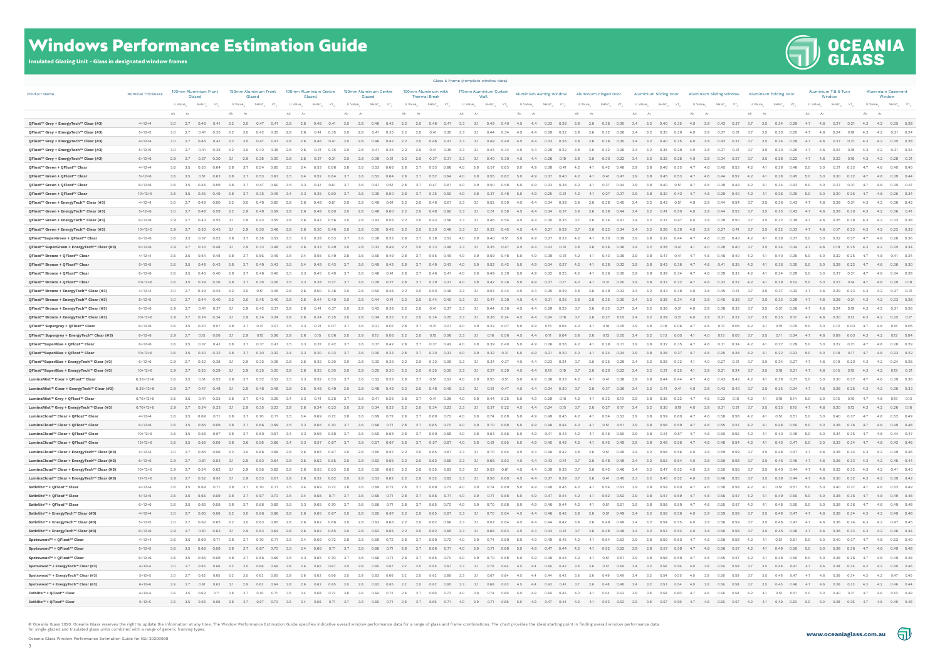# **JOCEANIA<br>JGLASS**



Oceania Glass Window Performance Estimation Guide for IGU 20200909

### Windows Performance Estimation Guide

Insulated Glazing Unit - Glass in designated window frames

| <b>Product Name</b>                                                              | <b>Nominal Thickness</b>     | 100mm Aluminium Front<br>Glazed                                    | 150mm Aluminium Front<br>Glazed                               | 100mm Aluminium Centre<br>Glazed           | 150mm Aluminium Centre<br>Glazed                         | <b>Thermal Break</b>         | 100mm Aluminium with 175mm Aluminium Curtain                                                                                                                                   | Aluminium Awning Window Aluminium Hinged Door |                                              |                               | Aluminium Sliding Door Aluminium Sliding Window Aluminium Folding Door                                                                                                                                                          | Aluminium Tilt & Turn<br>Window                       | <b>Aluminium Casement</b><br>Window                       |
|----------------------------------------------------------------------------------|------------------------------|--------------------------------------------------------------------|---------------------------------------------------------------|--------------------------------------------|----------------------------------------------------------|------------------------------|--------------------------------------------------------------------------------------------------------------------------------------------------------------------------------|-----------------------------------------------|----------------------------------------------|-------------------------------|---------------------------------------------------------------------------------------------------------------------------------------------------------------------------------------------------------------------------------|-------------------------------------------------------|-----------------------------------------------------------|
|                                                                                  |                              | U Value <sub>w</sub><br>$SHGC$ <sub>w</sub><br>$-\nabla T_{\rm w}$ | U Value <sub>w</sub><br>SHGC.                                 | U Value<br>SHGC_<br>VT_                    | U Value <sub>w</sub><br>$SHGC_{w}$<br>$VT_w$             | U Value <sub>w</sub><br>SHGC | VT.<br>U Value "<br>SHGC<br>$VT_w$                                                                                                                                             | U Value_<br>SHGC_<br>$VT_w$                   | U Value<br>SHGC.                             | U Value<br><b>SHGC</b>        | U Value_<br>U Value "<br>SHGC_<br>$VT_{\omega}$                                                                                                                                                                                 | U Value <sub>w</sub><br>SHGC_<br>VT_                  | U Value <sub>w</sub><br>SHGC <sub>w</sub> VT <sub>w</sub> |
|                                                                                  |                              | Air                                                                |                                                               | Air                                        | Air                                                      |                              |                                                                                                                                                                                | Air                                           | Air                                          | Air                           | Air<br>Air                                                                                                                                                                                                                      |                                                       | Air                                                       |
| QFloat™ Grey + EnergyTech™ Clear (#3)                                            | $4 + 12 + 4$                 |                                                                    | 3.0 2.7 0.46 0.41 3.2 3.0 0.47 0.41                           | $2.8$ $2.6$<br>0.46  0.41  3.0  2.8        | $0.46$ $0.42$ $2.2$ $2.0$                                | $0.46$ 0.41                  | 3.3                                                                                                                                                                            | 3.1 0.49 0.40 4.5 4.4 0.33 0.26               | 3.8<br>3.6<br>$0.36$ $0.30$ $3.4$            | 3.2                           | 0.40  0.35  4.0  3.8  0.42  0.37<br>3.7 3.5 0.34 0.29                                                                                                                                                                           | 4.7 4.6 0.27 0.21 4.3 4.2 0.35 0.28                   |                                                           |
| QFloat™ Grey + EnergyTech™ Clear (#3)                                            | $5 + 12 + 5$                 | 3.0 2.7 0.41<br>0.35                                               | 3.2<br>3.0<br>0.42<br>0.35                                    | 2.8<br>2.6<br>0.41                         | 3.0<br>2.8<br>0.41<br>0.35                               | 2.2<br>2.0<br>0.41           | 0.35<br>3.3<br>3.1<br>0.44<br>0.34                                                                                                                                             | 4.5<br>4.4<br>0.29<br>0.22                    | 3.8<br>0.32<br>-3.6<br>0.26                  | 3.4<br>3.2<br>0.35<br>0.29    | 3.7<br>4.0<br>3.8<br>3.5<br>0.30                                                                                                                                                                                                | 4.7<br>4.6<br>0.24<br>0.18                            | 4.2 0.31 0.24<br>4.3                                      |
| QFloat™ Grey + EnergyTech™ Clear (#3)                                            | $4+12+4$                     | 3.0 2.7 0.46<br>0.41                                               | 3.0                                                           | 2.8<br>0.46                                | 2.8<br>0.42                                              | $2.2\qquad 2.0$              | 0.41<br>3.3<br>0.49<br>0.40                                                                                                                                                    | 4.5<br>4.4 0.33 0.26                          | 3.8<br>0.30                                  | 3.4<br>3.2<br>0.40<br>0.35    | 4.0<br>$0.42$ 0.37<br>3.5<br>0.29                                                                                                                                                                                               | 4.7<br>4.6 0.27<br>0.21                               | 4.3 4.2 0.35 0.28                                         |
| QFloat™ Grey + EnergyTech™ Clear (#3)                                            | $5 + 12 + 5$                 | $3.0$ $2.7$<br>0.35<br>0.41                                        | 3.2<br>3.0<br>0.42<br>0.35                                    | - 2.8<br>- 2.6<br>0.41                     | 3.0<br>0.41<br>0.35                                      | 2.2<br>2.0<br>0.41           | 0.35<br>-3.3<br>0.44<br>0.34                                                                                                                                                   | -4.5<br>4.4<br>0.29<br>0.22                   | 3.8<br>-3.6<br>0.32<br>0.26                  | 3.4<br>3.2<br>0.35<br>0.29    | 4.0<br>3.8<br>0.31<br>- 3.7<br>- 3.5<br>0.30<br>0.25                                                                                                                                                                            | 4.7<br>- 4.6<br>0.24<br>0.18                          | $0.31$ 0.2<br>- 4.3<br>4.2                                |
| QFloat™ Grey + EnergyTech™ Clear (#3)                                            | $6 + 12 + 6$                 | $2.9$ 2.7<br>0.30                                                  |                                                               |                                            |                                                          |                              |                                                                                                                                                                                |                                               | 0.22                                         |                               |                                                                                                                                                                                                                                 |                                                       | 4.2                                                       |
| QFloat™ Green + QFloat™ Clear                                                    | $4 + 12 + 4$                 | 3.6<br>0.64<br>3.5<br>0.53                                         | 3.8<br>3.7<br>0.65                                            | 3.5<br>3.4<br>0.53                         | 0.66<br>0.53                                             | 2.8<br>2.7                   | 3.9<br>0.57<br>0.66<br>4.0<br>0.63                                                                                                                                             | 5.0<br>4.9<br>0.38<br>0.41                    | 0.42<br>0.48<br>-4.2<br>4.1                  | 3.9<br>3.8<br>0.46<br>0.55    | 4.7<br>4.6<br>0.45<br>0.53<br>-4.2<br>4.1<br>0.39                                                                                                                                                                               | 5.0<br>5.0<br>0.31<br>0.33                            | $0.40 \qquad 0.45$<br>4.7<br>4.6                          |
| QFloat™ Green + QFloat™ Clear                                                    | $5 + 12 + 6$                 | $3.6\qquad 3.5$<br>0.51<br>0.63                                    | 3.8<br>3.7<br>0.53<br>0.63                                    | 3.5<br>3.4<br>0.52<br>0.64                 | 0.52<br>0.64<br>3.7<br>- 3.6                             | 2.7<br>0.52<br>2.8           | 0.64<br>4.0<br>3.9<br>0.55<br>0.62                                                                                                                                             | 5.0<br>4.9<br>0.37<br>0.40                    | 0.41<br>0.47<br>4.2<br>4.1                   | 3.9<br>3.8<br>0.45<br>0.53    | 4.7<br>4.6<br>0.44<br>0.52<br>4.2<br>4.1<br>0.38<br>0.45                                                                                                                                                                        | 5.0<br>5.0<br>0.30<br>0.32                            | 4.7<br>4.6 0.39 0.44                                      |
| QFloat™ Green + QFloat™ Clear                                                    | $6 + 12 + 6$                 | $3.6\qquad 3.5$<br>0.59<br>0.46                                    | 3.8<br>3.7<br>0.47<br>0.60                                    | - 3.5<br>3.3<br>0.47<br>0.61               | 3.7<br>3.6<br>0.47<br>0.61                               | 2.8<br>2.7<br>0.47           | 0.61<br>4.0<br>3.9<br>0.50<br>0.58                                                                                                                                             | 5.0<br>4.9<br>0.33<br>0.38                    | 0.37<br>0.44<br>-4.2<br>4.1                  | 3.9<br>3.8<br>0.40<br>0.51    | 4.7<br>-4.6<br>0.39<br>0.49<br>4.2<br>0.34<br>0.43                                                                                                                                                                              | 5.0<br>5.0<br>0.27<br>0.31                            | 4.6 0.35 0.41<br>4.7                                      |
| QFloat™ Green + QFloat™ Clear                                                    | $10+12+5$                    | 3.6 3.5 0.35 0.49                                                  | 3.8<br>3.7<br>$0.35$ 0.49<br>$0.49$ 0.60<br>3.0               | 3.4<br>3.3<br>0.35<br>0.50<br>0.48<br>0.61 | 3.7<br>3.6<br>0.35<br>0.50<br>3.0<br>2.8<br>0.49<br>0.61 | 2.8<br>2.7<br>0.35 0.50      | 4.0<br>3.8 0.37<br>0.48<br>3.1<br>0.59                                                                                                                                         | 5.0<br>4.9 0.25 0.31                          | 4.2<br>4.1<br>$0.27$ 0.37 3.9<br>3.6<br>0.38 | 3.8<br>$0.30 \t 0.42$<br>3.4  | 4.7<br>4.6 0.29 0.40<br>4.2<br>4.1<br>0.26<br>0.35<br>3.7<br>0.54<br>0.36<br>0.43                                                                                                                                               | 5.0<br>4.7                                            | 5.0  0.20  0.25  4.7  4.6  0.26  0.34                     |
| QFloat™ Green + EnergyTech™ Clear (#3)                                           | $4+12+4$                     | 3.0 2.7 0.48 0.60                                                  | 3.2                                                           | 2.8<br>2.6<br>0.48<br>0.60                 |                                                          | 2.2<br>2.0<br>0.48           | 3.3<br>0.52<br>0.61                                                                                                                                                            | 4.5<br>4.4 0.34<br>0.38                       | 3.8<br>0.45                                  | 3.2<br>0.42<br>0.51           | 4.0<br>3.8 0.44<br>3.5                                                                                                                                                                                                          | 4.6<br>0.28<br>0.31<br>4.7                            | 4.2 0.36 0.42<br>4.3<br>0.30 4.3 4.2 0.36 0.41            |
| QFloat™ Green + EnergyTech™ Clear (#3)                                           | $5 + 12 + 6$<br>$6 + 12 + 6$ | 3.0 2.7 0.48<br>0.59<br>2.9 2.7 0.43<br>0.55                       | 3.2<br>2.9<br>0.49<br>0.59<br>2.9<br>0.43<br>0.55             | 2.8<br>2.6<br>2.8<br>0.43                  | 2.8<br>0.60<br>- 3.0<br>0.48                             | 2.2<br>2.0<br>0.48           | 0.60<br>3.3<br>0.51<br>- 3.1<br>0.58                                                                                                                                           | 4.5<br>4.4 0.34<br>0.37                       | 0.44<br>3.8<br>- 3.6<br>0.38                 | 3.4<br>3.2<br>0.41<br>0.50    | 4.0<br>3.8<br>0.44<br>0.53<br>3.7<br>3.5<br>0.42<br>0.35                                                                                                                                                                        | 4.6<br>0.28                                           | 4.2<br>$0.32$ $0.31$                                      |
| QFloat™ Green + EnergyTech™ Clear (#3)<br>QFloat™ Green + EnergyTech™ Clear (#3) | $10+12+5$                    | 2.9 2.7 0.30<br>0.45                                               | 3.1<br>2.9<br>0.30<br>0.46                                    | 2.8<br>2.6<br>0.30                         | 2.8<br>0.46<br>3.0<br>0.30                               | 2.2<br>2.0<br>0.30           | 3.3<br>0.32<br>0.46<br>- 3.1<br>0.45                                                                                                                                           | 0.21<br>0.29<br>4.5<br>4.4                    | 0.23<br>0.34<br>3.7<br>3.6                   | 3.2<br>0.26<br>0.39<br>3.4    | 4.0<br>0.27<br>0.41<br>3.7<br>3.5<br>0.33<br>3.8<br>0.22                                                                                                                                                                        | 4.7<br>4.6<br>0.17                                    | 0.23  4.3  4.2  0.22  0.32                                |
| QFloat™SuperGreen + QFloat™ Clear                                                | $6 + 12 + 6$                 | 3.6<br>0.37<br>3.5<br>0.52                                         | 0.52                                                          | 3.5<br>3.3<br>0.38<br>0.53                 | 0.53                                                     |                              | 0.53<br>4.0<br>3.9<br>0.40<br>0.51                                                                                                                                             | 5.0<br>4.9<br>0.27<br>0.33                    | 4.2<br>0.30<br>0.39                          | 3.9<br>3.8<br>0.32<br>0.44    | 4.7<br>4.6<br>0.32<br>0.43<br>4.2                                                                                                                                                                                               | 0.22<br>5.0<br>5.0<br>0.27                            | $0.28$ 0.3<br>4.7<br>4.6                                  |
| QFloat™ SuperGreen + EnergyTech™ Clear (#3)                                      | $6 + 12 + 6$                 | 2.9 2.7 0.33 0.48                                                  | 3.1<br>2.9<br>$0.33$ 0.48                                     | 2.8<br>0.33<br>2.6<br>0.49                 | 2.8<br>0.33<br>0.49<br>3.0                               | 2.0<br>$0.33$ 0.49<br>2.2    | 3.3<br>0.35<br>3.1<br>0.47                                                                                                                                                     | 4.4 0.23 0.31<br>4.5                          | 3.8<br>3.6<br>0.26<br>0.36                   | 3.2<br>0.28<br>3.4<br>0.41    | 4.0 0.28<br>0.40<br>3.7<br>3.5<br>0.24<br>0.34<br>4.1                                                                                                                                                                           | 4.7                                                   | 4.6  0.19  0.25  4.3  4.2  0.25  0.34                     |
| QFloat™ Bronze + QFloat™ Clear                                                   | $4 + 12 + 4$                 | 3.6<br>3.5<br>0.54<br>0.48                                         | 0.49                                                          |                                            |                                                          |                              | 0.49<br>3.9                                                                                                                                                                    |                                               |                                              |                               |                                                                                                                                                                                                                                 | 0.32<br>0.25                                          | 4.6  0.41  0.34                                           |
| QFloat™ Bronze + QFloat™ Clear                                                   | $5 + 12 + 5$                 | 3.6 3.5 0.48 0.42 3.8                                              | $0.49$ $0.43$ $3.5$<br>3.7                                    | 3.4<br>0.49<br>0.43                        | 3.7<br>3.6<br>0.49<br>0.43                               | 2.8<br>2.7                   | $0.49$ $0.43$ $4.0$                                                                                                                                                            | 39 052 042 50 49 034 027                      | 4.1 0.38 0.32 3.9<br>4.2                     | 3.8 0.42<br>0.36              | 4.7<br>4.6 0.41 0.35<br>4.2<br>4.1<br>0.36 0.30                                                                                                                                                                                 | 5.0                                                   | 5.0  0.28  0.22  4.7  4.6  0.36  0.30                     |
| QFloat™ Bronze + QFloat™ Clear                                                   | $6 + 12 + 6$                 | 3.6<br>3.5<br>0.45<br>0.40                                         | 3.8<br>3.7<br>0.40                                            | 3.3<br>0.45                                |                                                          |                              | 3.9<br>0.49<br>4.0<br>0.39                                                                                                                                                     | 0.32<br>5.0<br>4.9                            | 0.30                                         | 3.8<br>3.9<br>0.39<br>0.34    | 0.39<br>0.33<br>4.2<br>4.7<br>4.6<br>0.34                                                                                                                                                                                       | 5.0<br>5.0<br>0.27<br>0.21                            | $0.34$ 0.2<br>4.7<br>4.6                                  |
| QFloat™ Bronze + QFloat™ Clear                                                   | $10+12+6$                    | 3.6 3.5 0.39 0.26                                                  | 3.8<br>0.26                                                   | 3.5                                        | 0.27                                                     | - 2.7                        | 3.8<br>0.42<br>0.26                                                                                                                                                            | 0.27<br>5.0<br>4.9<br>0.17                    | $0.31$ 0.20                                  | 3.9<br>0.33<br>0.22<br>3.8    | 4.7<br>0.33<br>0.22<br>4.2                                                                                                                                                                                                      | 5.0<br>0.23<br>0.14                                   | 4.6 0.29 0.18<br>4.7                                      |
| QFloat™ Bronze + EnergyTech™ Clear (#3)                                          | $4 + 12 + 4$                 | 3.0<br>2.7 0.49<br>0.45                                            | 3.2<br>3.0<br>0.45                                            | 2.8                                        | 0.46                                                     | 2.2<br>2.0<br>O 50           | 0.46<br>3.3<br>$-31$<br>0.53<br>0.44                                                                                                                                           | 4.5<br>4.4<br>0.35<br>0.29                    | 3.8<br>3.6<br>0.39<br>0.33                   | 3.4<br>3.2<br>0.43<br>0.38    | 4.0<br>3.8<br>0.45<br>0.41<br>37<br>3.5<br>0.32                                                                                                                                                                                 | 47<br>4.6<br>0.29<br>0.23                             | 4.2<br>$0.37$ 0.3<br>4.3                                  |
| QFloat™ Bronze + EnergyTech™ Clear (#3)                                          | $5 + 12 + 5$                 | 3.0 2.7 0.44 0.40                                                  | 3.2<br>3.0<br>0.45<br>0.40                                    | 2.8<br>2.6<br>0.44                         | 3.0<br>2.8<br>0.44<br>0.41                               | 2.2<br>2.0<br>0.44           | 0.40<br>3.3<br>3.1<br>0.47<br>0.39                                                                                                                                             | 4.5<br>4.4 0.31 0.25                          | 3.8<br>3.6<br>0.35<br>0.30                   | 3.4<br>3.2<br>0.38<br>0.34    | 4.0<br>3.8<br>$0.40\qquad 0.36$<br>3.7<br>3.5<br>0.33<br>0.28                                                                                                                                                                   | 4.6<br>4.7                                            | 0.26 0.21 4.3 4.2 0.33 0.28                               |
| QFloat™ Bronze + EnergyTech™ Clear (#3)                                          | $6 + 12 + 6$                 | 2.9<br>2.7<br>0.41<br>0.37                                         | 3.1<br>2.9<br>0.42<br>0.37                                    | 2.8<br>2.6<br>0.41<br>0.37                 | 3.0<br>- 2.8<br>0.42<br>0.38                             | 2.2<br>2.0<br>0.41           | 0.37<br>3.3<br>3.1<br>0.44<br>0.36                                                                                                                                             | 4.5<br>4.4<br>0.29<br>0.23                    | - 3.7<br>- 3.6<br>0.33<br>0.27               | 3.4<br>3.2<br>0.36<br>0.31    | 4.0<br>- 3.8<br>0.38<br>0.33<br>3.7<br>3.5<br>0.31<br>0.26                                                                                                                                                                      | 4.7<br>-4.6<br>0.24<br>0.19                           | $0.31$ $0.21$<br>4.3<br>4.2                               |
| QFloat™ Bronze + EnergyTech™ Clear (#3)                                          | $10+12+6$                    | 2.9 2.7 0.34<br>0.24                                               | 2.9<br>0.34<br>0.24                                           | 2.8<br>2.6<br>0.34<br>0.25                 | 3.0<br>2.8<br>0.34<br>0.25                               | 2.2<br>2.0<br>0.34           | 0.25<br>3.3<br>3.1<br>0.36<br>0.24                                                                                                                                             | 4.4 0.24<br>4.5<br>0.16                       | 3.7<br>3.6<br>0.27<br>0.18                   | 3.4<br>3.2<br>0.29<br>0.21    | 4.0<br>3.8<br>0.31<br>0.22<br>3.5<br>0.25<br>0.17                                                                                                                                                                               | 0.20<br>4.7<br>4.6<br>0.13                            | 4.2 0.25 0.17<br>4.3                                      |
| QFloat™ Supergrey + QFloat™ Clear                                                | $6 + 12 + 6$                 | 3.6 3.5 0.20<br>0.07                                               | 3.8<br>3.7<br>0.21<br>0.07                                    | 3.3<br>3.5<br>0.21<br>0.07                 | 3.7<br>3.6<br>0.21<br>0.07                               | 2.8<br>2.7<br>0.21           | 3.9<br>0.07<br>4.0<br>0.22<br>0.07                                                                                                                                             | 5.0<br>4.9<br>0.15<br>0.04                    | 4.2<br>4.1<br>0.16<br>0.05                   | 3.9<br>3.8<br>0.18<br>0.06    | 4.2<br>4.7<br>4.6<br>0.17<br>4.1<br>0.15                                                                                                                                                                                        | 5.0<br>5.0<br>0.12<br>0.03                            | $0.16 \qquad 0.0$<br>4.7<br>4.6                           |
| QFloat™ Supergrey + EnergyTech™ Clear (#3)                                       | $6 + 12 + 6$                 | 2.9 2.7 0.15<br>0.06                                               | 0.06                                                          | 2.8                                        | 0.06                                                     | 2.0<br>$0.15$ 0.06           | 3.3<br>0.16                                                                                                                                                                    | 4.5<br>4.4<br>$0.11$ 0.04                     | 3.8<br>3.6<br>$0.12$ 0.05                    | 3.4<br>3.2<br>0.13            | 4.1<br>4.0<br>0.13                                                                                                                                                                                                              | 4.6<br>0.09                                           | 4.2 0.12 0.0<br>4.3                                       |
| QFloat™SuperBlue + QFloat™ Clear                                                 | $6 + 12 + 6$                 | 3.6 3.5 0.37<br>0.41                                               | 3.8<br>3.7<br>0.37<br>0.41                                    | 3.5<br>3.3<br>0.37<br>0.42                 | 3.7<br>-3.6<br>0.37<br>0.42                              | - 2.8<br>- 2.7               | 3.9<br>0.42<br>4.0<br>0.39<br>0.40                                                                                                                                             | 5.0<br>4.9<br>0.26<br>0.26                    | -4.2<br>4.1<br>0.31                          | 3.9<br>3.8<br>0.32<br>0.35    | 4.2<br>4.7<br>4.6<br>0.31<br>0.34<br>-4.1<br>0.27<br>0.29                                                                                                                                                                       | 5.0<br>5.0<br>0.22<br>0.21                            | $0.28$ 0.2<br>4.7<br>4.6                                  |
| QFloat™SuperBlue + QFloat™ Clear                                                 | $10+12+6$                    | 3.6<br>3.5<br>0.30<br>0.32                                         | 0.32                                                          |                                            |                                                          |                              | 3.9<br>0.32                                                                                                                                                                    |                                               |                                              |                               |                                                                                                                                                                                                                                 |                                                       | 4.6 0.23 0.22                                             |
| QFloat™SuperBlue + EnergyTech™ Clear (#3)                                        | $6 + 12 + 6$                 | 2.9 2.7 0.32<br>0.38                                               | 3.1<br>2.9<br>0.32<br>0.38                                    | 2.8<br>2.6<br>0.32<br>0.39                 | 3.0<br>2.8<br>0.32<br>0.39                               | 2.2<br>2.0<br>0.32           | 0.39<br>3.3<br>3.1<br>0.34<br>0.37                                                                                                                                             | 4.5<br>4.4 0.23 0.24                          | 3.7<br>3.6<br>0.25<br>0.28                   | 3.4<br>3.2<br>0.28<br>0.32    | 4.1<br>4.0<br>0.27<br>0.31<br>3.7<br>3.5<br>0.24<br>0.27                                                                                                                                                                        | 0.19<br>4.7<br>4.6<br>0.20                            | 4.3<br>4.2  0.24  0.2                                     |
| QFloat™SuperBlue + EnergyTech™ Clear (#3)                                        | $10+12+6$                    | 2.9<br>2.7 0.25 0.29                                               | 2.9<br>0.25<br>0.30                                           | 2.8<br>0.25                                | 0.30                                                     | 2.2<br>2.0<br>0.25           | 0.30<br>3.3<br>0.27                                                                                                                                                            | 4.4<br>0.18<br>0.19                           | 3.6<br>0.20<br>0.22                          | 3.4<br>3.2<br>0.21<br>0.25    | 0.21<br>0.24                                                                                                                                                                                                                    |                                                       | 4.3<br>4.2                                                |
| LuminaMist™ Clear + QFloat™ Clear                                                | $6.38 + 12 + 6$              | 3.6 3.5 0.51 0.52                                                  | 0.52<br>0.52<br>3.8<br>3.7                                    | 0.52<br>- 3.5<br>3.3<br>0.53               | 3.7<br>- 3.6<br>0.52<br>0.53                             | 2.8<br>2.7<br>0.51           | 3.9<br>0.53<br>4.0<br>0.55<br>0.51                                                                                                                                             | - 5.0<br>4.9<br>0.36<br>0.33                  | - 4.2<br>0.41<br>0.38<br>- 4.1               | 0.44<br>0.44<br>-3.9<br>- 3.8 | 4.7<br>0.43<br>- 4.6<br>0.42<br>-4.2<br>-4.1                                                                                                                                                                                    | 5.0<br>0.30<br>0.27<br>- 5.0                          | 4.6 0.39 0.36<br>4.7                                      |
| LuminaMist™ Clear + EnergyTech™ Clear (#3)                                       | $6.38 + 12 + 6$              | 2.9 2.7 0.47 0.48                                                  | 3.1<br>2.9 0.48 0.48 2.8 2.6                                  | 0.48<br>0.49                               | $3.0\qquad 2.8$<br>0.49<br>0.48                          | 2.2<br>2.0 0.48 0.49         | 3.3<br>3.1  0.51  0.47  4.5                                                                                                                                                    | 4.4 0.34 0.30                                 | $3.7\qquad 3.6$<br>0.37 0.36                 | 3.2<br>0.41<br>0,41<br>3.4    | 4.0<br>3.8 0.43 0.43<br>3.7 3.5<br>0.35<br>0.34                                                                                                                                                                                 | 4.7                                                   | 4.6 0.28 0.25 4.3 4.2 0.36 0.33                           |
| LuminaMist™ Grey + QFloat™ Clear                                                 | $6.76 + 12 + 6$              | 3.6<br>3.5<br>0.41<br>0.25                                         | 3.8<br>3.7<br>$0.42$ 0.25                                     | - 3.4<br>3.3<br>0.41<br>0.26               | 3.7<br>- 3.6<br>0.41<br>0.26                             | 2.8<br>2.7<br>0.41           | 0.26<br>4.0<br>3.9<br>0.44<br>0.25                                                                                                                                             | 5.0<br>4.9<br>0.29<br>0.16                    | 4.2<br>4.1<br>0.32<br>0.19                   | 3.9<br>3.8<br>0.35<br>0.22    | 4.7<br>4.6<br>0.22<br>0.16<br>4.2<br>4.1<br>0.19<br>0.14                                                                                                                                                                        | 5.0<br>5.0<br>0.15<br>0.10                            | $0.19$ $0.13$<br>4.7<br>4.6                               |
| LuminaMist™ Grey + EnergyTech™ Clear (#3)                                        | $6.76 + 12 + 6$              | 2.9 2.7 0.34 0.23                                                  | 2.9<br>$0.35$ 0.23<br>3.1                                     | 2.8<br>0.34<br>0.23<br>2.6                 | 2.8<br>0.23<br>3.0<br>0.34                               | 2.0<br>$0.34$ 0.23<br>2.2    | 3.3<br>0.37<br>0.22<br>3.1                                                                                                                                                     | 4.5<br>4.4 0.24<br>0.15                       | 3.7<br>- 3.6<br>0.27<br>0.17                 | 3.2<br>0.30<br>0.19<br>3.4    | 4.0<br>3.8<br>0.31<br>3.5<br>0.25<br>0.16<br>0.21<br>3.7                                                                                                                                                                        | 4.7<br>4.6<br>0.20<br>0.12                            | 4.2  0.26  0.16<br>4.3                                    |
| LuminaCloud™ Clear + QFloat™ Clear                                               | $4 + 12 + 4$                 | 3.6<br>3.5                                                         |                                                               |                                            |                                                          |                              |                                                                                                                                                                                |                                               |                                              |                               |                                                                                                                                                                                                                                 | 0.40<br>5.0<br>5.0<br>0.37                            | $0.52$ 0.49<br>4.7<br>4.6                                 |
| LuminaCloud™ Clear + QFloat™ Clear                                               | $6 + 12 + 6$                 |                                                                    | 3.6 3.5 0.65 0.69 3.8 3.7 0.66 0.69                           | 3.5<br>3.3 0.65 0.70 3.7                   | 3.6<br>0.66 0.71 2.8 2.7                                 |                              | 0.65 0.70 4.0<br>3.9 0.70 0.68                                                                                                                                                 | 5.0 4.9 0.46 0.44                             | 4.2<br>4.1<br>$0.51$ 0.51                    | 3.9                           | 3.8 0.56 0.59 4.7 4.6 0.55 0.57 4.2 4.1 0.48 0.50 5.0 5.0 0.38 0.36 4.7 4.6 0.49 0.48                                                                                                                                           |                                                       |                                                           |
| LuminaCloud™ Clear + QFloat™ Clear                                               | $10+12+6$                    | 3.6<br>3.5<br>0.58<br>0.67                                         | 3.7<br>$0.60$ 0.67<br>3.8                                     | 3.4<br>3.3<br>0.59<br>0.68                 | 3.7<br>3.6<br>0.59<br>0.68                               | 2.7<br>$0.59$ 0.68<br>2.8    | 3.8 0.63<br>4.0<br>0.66                                                                                                                                                        | 5.0 4.9 0.41<br>0.43                          | 4.2<br>4.1  0.46  0.50                       | 3.9<br>3.8<br>0.51<br>0.57    | 4.7<br>4.6  0.50  0.55<br>4.2<br>4.1<br>0.43<br>0.48                                                                                                                                                                            | 5.0<br>5.0<br>$0.34$ 0.35                             | 4.7<br>4.6  0.44  0.47                                    |
| LuminaCloud™ Clear + QFloat™ Clear                                               | $12+12+6$                    | 3.6 3.5 0.56 0.66 3.8                                              |                                                               |                                            |                                                          |                              |                                                                                                                                                                                |                                               |                                              |                               | 0.66 0.66 0.46 3.3 0.57 0.67 3.7 3.6 0.57 0.67 2.8 2.7 0.57 0.67 4.0 3.8 0.61 0.65 5.0 4.9 0.40 0.42 4.1 0.45 0.49 3.9 3.8 0.49 0.56 4.7 4.6 0.48 0.54 4.2 4.1 0.42 0.47 5.0 5.0 0.33 0.34 4.7 4.6 0.42 0.46 0.42 0.46 0.42 0.4 |                                                       |                                                           |
| LuminaCloud™ Clear + EnergyTech™ Clear (#3)                                      | $4 + 12 + 4$                 |                                                                    |                                                               |                                            |                                                          |                              |                                                                                                                                                                                |                                               |                                              |                               | 3.0 2.7 0.65 0.66 3.2 3.0 0.66 0.66 2.8 2.6 0.65 0.67 3.0 2.8 0.65 0.67 2.2 2.0 0.65 0.67 3.3 3.1 0.70 0.64 4.5 4.4 0.46 0.42 3.8 0.51 0.49 3.4 3.2 0.56 0.56 4.0 3.8 0.59 0.59 3.7 3.5 0.48 0.47 4.7 4.6 0.38 0.34 4.2 0.49 0  |                                                       |                                                           |
| LuminaCloud™ Clear + EnergyTech™ Clear (#3)                                      | $6 + 12 + 6$                 |                                                                    |                                                               |                                            |                                                          |                              |                                                                                                                                                                                |                                               |                                              |                               | 2.9 2.7 0.61 0.63 3.1 2.9 0.63 0.64 2.8 2.6 0.62 0.65 3.0 2.8 0.62 0.65 2.2 2.0 0.62 0.65 3.3 3.1 0.66 0.63 4.5 4.4 0.43 0.41 3.7 3.6 0.48 0.48 3.4 3.2 0.53 0.54 4.0 3.8 0.56 0.58 3.7 3.5 0.45 0.46 4.7 4.6 0.36 0.33 4.3 4.2 |                                                       |                                                           |
| LuminaCloud™ Clear + EnergyTech™ Clear (#3)                                      | $10+12+6$                    |                                                                    |                                                               |                                            |                                                          |                              |                                                                                                                                                                                |                                               |                                              |                               | 2.9 2.7 0.54 0.62 3.1 2.9 0.56 0.62 2.8 2.6 0.55 0.63 3.0 2.8 0.55 0.63 2.2 2.0 0.55 0.63 3.3 3.1 0.59 0.61 4.5 4.4 0.39 0.39 3.7 3.6 0.43 0.46 3.4 3.2 0.47 0.52 4.0 3.8 0.50 0.56 3.7 3.5 0.40 0.44 4.7 4.6 0.32 0.32 4.3 4.2 |                                                       |                                                           |
| LuminaCloud™ Clear + EnergyTech™ Clear (#3)                                      | $12+12+6$                    |                                                                    |                                                               |                                            |                                                          |                              |                                                                                                                                                                                |                                               |                                              |                               | 2.9 2.7 0.52 0.61 3.1 2.9 0.53 0.61 2.8 2.6 0.52 0.62 3.0 2.8 0.53 0.62 2.2 2.0 0.52 0.62 3.3 3.1 0.56 0.60 4.5 4.4 0.37 0.39 3.7 3.6 0.41 0.45 3.3 3.2 0.45 0.52 4.0 3.8 0.48 0.55 3.7 3.5 0.39 0.44 4.7 4.6 0.30 0.32 4.3 4.2 |                                                       |                                                           |
| Satinlite™ + QFloat™ Clear                                                       | $4 + 12 + 4$                 |                                                                    |                                                               |                                            |                                                          |                              |                                                                                                                                                                                |                                               |                                              |                               | 3.6 3.5 0.69 0.71 3.8 3.7 0.70 0.71 3.5 3.4 0.69 0.72 3.8 3.6 0.69 0.72 2.8 2.7 0.69 0.72 4.0 3.9 0.74 0.69 5.0 4.9 0.49 0.45 4.2 4.1 0.54 0.53 3.9 3.8 0.59 0.60 4.7 4.6 0.58 0.58 4.2 4.1 0.51 5.0 5.0 0.40 0.37 4.7 4.6 0.5  |                                                       |                                                           |
| Satinlite™ + QFloat™ Clear                                                       | $5 + 12 + 5$                 |                                                                    |                                                               |                                            |                                                          |                              |                                                                                                                                                                                |                                               |                                              |                               | 3.6 3.5 0.66 0.69 3.8 3.7 0.67 0.70 3.5 3.4 0.66 0.71 3.7 3.6 0.66 0.71 2.8 2.7 0.66 0.71 4.0 3.9 0.71 0.68 5.0 4.9 0.47 0.44 4.2 4.1 0.52 0.52 3.9 3.8 0.57 0.59 4.7 4.6 0.56 0.57 4.2 4.1 0.49 0.50 5.0 0.38 0.36 4.7 4.6 0.  |                                                       |                                                           |
| Satinlite™ + QFloat™ Clear                                                       | $6 + 12 + 6$                 | 3.6 3.5 0.65 0.69 3.8                                              | 3.7<br>$0.66$ 0.69                                            | 3.5<br>3.3 0.65 0.70 3.7                   | 3.6<br>0.66                                              | 0.71 2.8<br>2.7<br>0.65 0.70 | 4.0<br>3.9<br>0.70<br>0.68                                                                                                                                                     | 5.0<br>4.9  0.46  0.44                        | 4.2<br>4.1<br>$0.51$ 0.51                    | 3.9<br>3.8<br>0.56<br>0.59    | 4.7<br>4.6<br>0.55<br>0.57<br>4.2<br>4.1<br>0.48                                                                                                                                                                                | 5.0<br>5.0<br>$0.38$ $0.36$                           | 4.6  0.49  0.48<br>4.7                                    |
| Satinlite™ + EnergyTech™ Clear (#3)                                              | $4+12+4$                     |                                                                    |                                                               |                                            |                                                          |                              |                                                                                                                                                                                |                                               |                                              |                               | 3.0 2.7 0.65 0.66 3.2 3.0 0.66 0.66 2.8 2.6 0.65 0.67 3.0 2.8 0.65 0.67 2.2 2.0 0.65 0.67 3.3 3.1 0.70 0.64 4.5 4.4 0.46 0.42 3.8 3.6 0.51 0.49 3.4 3.2 0.56 0.56 4.0 3.8 0.59 0.59 3.7 3.5 0.48 0.47 4.6 0.38 0.34 4.3 4.2 0.  |                                                       |                                                           |
| Satinlite™ + EnergyTech™ Clear (#3)                                              | $5 + 12 + 5$                 |                                                                    |                                                               |                                            |                                                          |                              |                                                                                                                                                                                |                                               |                                              |                               | 3.0 2.7 0.62 0.65 3.2 3.0 0.63 0.65 2.8 2.6 0.62 0.66 3.0 2.8 0.63 0.66 2.2 2.0 0.62 0.66 3.3 3.1 0.67 0.64 4.5 4.4 0.44 0.42 3.8 3.6 0.49 0.49 3.4 3.2 0.54 0.55 4.0 3.8 0.56 0.59 3.7 3.5 0.46 0.47                           | 4.7 4.6 0.36 0.34 4.3                                 | 4.2  0.47  0.45                                           |
| Satinlite™ + EnergyTech™ Clear (#3)                                              | $6 + 12 + 6$                 |                                                                    |                                                               |                                            |                                                          |                              |                                                                                                                                                                                |                                               |                                              |                               | 2.9 2.7 0.61 0.63 3.1 2.9 0.63 0.64 2.8 2.6 0.62 0.65 3.0 2.8 0.62 0.65 2.2 2.0 0.62 0.65 3.3 3.1 0.66 0.63 4.5 4.4 0.43 0.41 3.7 3.6 0.48 0.48 3.4 3.2 0.53 0.54 4.0 3.8 0.56 0.58 3.7 3.5 0.45 0.46 4.7 4.6 0.36 0.33 4.3 4.2 |                                                       |                                                           |
| Spotswood™ + QFloat™ Clear                                                       | $4 + 12 + 4$                 |                                                                    |                                                               |                                            |                                                          |                              |                                                                                                                                                                                |                                               |                                              |                               | 3.6 3.5 0.69 0.71 3.8 3.7 0.70 0.71 3.5 3.4 0.69 0.72 3.8 3.6 0.69 0.72 2.8 2.7 0.69 0.72 4.0 3.9 0.74 0.69 5.0 4.9 0.49 0.45 4.2 4.1 0.54 0.53 3.9 3.8 0.59 0.60 4.7 4.6 0.58 0.58 4.2 4.1 0.51 5.0 5.0 0.40 0.37 4.7 4.6 0.5  |                                                       |                                                           |
| Spotswood™ + QFloat™ Clear                                                       | $5 + 12 + 5$                 |                                                                    |                                                               |                                            |                                                          |                              |                                                                                                                                                                                |                                               |                                              |                               | 3.6 3.5 0.66 0.69 3.8 3.7 0.67 0.70 3.5 3.4 0.66 0.71 3.7 3.6 0.66 0.71 2.8 2.7 0.66 0.71 4.0 3.9 0.71 0.68 5.0 4.9 0.47 0.44 4.2 4.1 0.52 0.52 3.9 3.8 0.57 0.59 4.7 4.6 0.56 0.57 4.2 4.1 0.49 0.50 5.0 0.38 0.36 4.7 4.6 0.  |                                                       |                                                           |
| Spotswood™ + QFloat™ Clear                                                       | $6 + 12 + 6$                 |                                                                    |                                                               |                                            |                                                          |                              |                                                                                                                                                                                |                                               |                                              |                               | 3.6 3.5 0.65 0.69 3.8 3.7 0.66 0.69 3.5 3.3 0.65 0.70 3.7 3.6 0.66 0.71 2.8 2.7 0.65 0.70 4.0 3.9 0.70 0.68 5.0 4.9 0.46 0.44 4.2 4.1 0.51 0.51 3.9 3.8 0.56 0.59 4.7 4.6 0.55 0.57 4.2 4.1 0.48 0.50 5.0 0.38 0.36 4.7 4.6 0.  |                                                       |                                                           |
| Spotswood™ + EnergyTech™ Clear (#3)                                              | $4 + 12 + 4$                 |                                                                    | 3.0 2.7 0.65 0.66 3.2 3.0 0.66 0.66 2.8 2.6 0.65 0.67 3.0 2.8 |                                            |                                                          |                              | 0.65 0.67 2.2 2.0 0.65 0.67 3.3 3.1 0.70 0.64                                                                                                                                  |                                               |                                              |                               | 4.5 4.4 0.46 0.42 3.8 3.6 0.51 0.49 3.4 3.2 0.56 0.56 4.0 3.8 0.59 0.59                                                                                                                                                         | 3.7 3.5 0.48 0.47 4.7 4.6 0.38 0.34 4.3 4.2 0.49 0.46 |                                                           |
| Spotswood™ + EnergyTech™ Clear (#3)                                              | $5 + 12 + 5$                 |                                                                    |                                                               |                                            |                                                          |                              | 3.0   2.7   0.62   0.65   3.2   3.0   0.63   0.65   2.8   2.6   0.62   0.66   3.0   2.8   0.63   0.66   2.2   2.0   0.62   0.66   3.3   3.1   0.67   0.64                      |                                               |                                              |                               | 4.5 4.4 0.44 0.42 3.8 3.6 0.49 0.49 3.4 3.2 0.54 0.55 4.0 3.8 0.56 0.59 3.7 3.5 0.46                                                                                                                                            | 0.47 4.7 4.6 0.36 0.34 4.3 4.2 0.47 0.45              |                                                           |
| Spotswood™ + EnergyTech™ Clear (#3)                                              | $6 + 12 + 6$                 |                                                                    |                                                               |                                            |                                                          |                              | 2.9 2.7 0.61 0.63 3.1 2.9 0.63 0.64 2.8 2.6 0.62 0.65 3.0 2.8 0.62 0.65 2.2 2.0 0.62 0.65 3.3 3.1 0.66 0.63 4.5 4.4 0.43 0.41 3.7 3.6 0.48 3.4 3.2 0.53 0.54 4.0 3.8 0.56 0.58 |                                               |                                              |                               | 3.7 3.5 0.45 0.46                                                                                                                                                                                                               | 4.7                                                   | 4.6 0.36 0.33 4.3 4.2 0.46 0.44                           |
| Cathlite™ + QFloat™ Clear                                                        | $4 + 12 + 4$                 | 3.6<br>3.5<br>0.69<br>0.71                                         | 3.8<br>3.7<br>0.70<br>0.71                                    | 3.5<br>3.4<br>0.69<br>$0.72$ 3.8           | 3.6<br>0.69<br>0.72                                      | 2.8<br>2.7<br>$0.69$ 0.72    | 4.0<br>3.9<br>0.74<br>0.69                                                                                                                                                     | 5.0<br>4.9<br>0.49<br>0.45                    | 4.2<br>$0.54$ 0.53<br>4.1                    | 3.9<br>3.8<br>0.59<br>0.60    | 4.7<br>4.6<br>0.58<br>0.58<br>4.2<br>0.51<br>0.51<br>4.1                                                                                                                                                                        | 5.0<br>5.0<br>0.40<br>0.37                            | 4.6  0.52  0.49<br>4.7                                    |
| Cathlite™ + QFloat™ Clear                                                        | $5 + 12 + 5$                 |                                                                    |                                                               |                                            |                                                          |                              |                                                                                                                                                                                |                                               |                                              |                               | 3.6 3.5 0.66 0.69 3.8 3.7 0.67 0.70 3.5 3.4 0.66 0.71 3.7 3.6 0.66 0.71 2.8 2.7 0.66 0.71 4.0 3.9 0.71 0.68 5.0 4.9 0.47 0.44 4.2 4.1 0.52 0.52 3.9 3.8 0.57 0.59 4.7 4.6 0.56 0.57 4.2 4.1 0.49 0.50 5.0 0.38 0.36 4.7 4.6 0.  |                                                       |                                                           |

© Oceania Glass 2020. Oceania Glass reserves the right to update the information at any time. The Window Performance Estimation Guide specifies indicative overall window performance data for a range of glass and frame comb